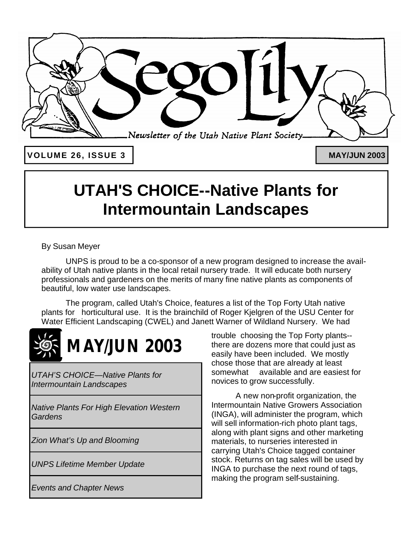

**VOLUME 26, ISSUE 3**

**MAY/JUN 2003**

# **UTAH'S CHOICE--Native Plants for Intermountain Landscapes**

By Susan Meyer

UNPS is proud to be a co-sponsor of a new program designed to increase the availability of Utah native plants in the local retail nursery trade. It will educate both nursery professionals and gardeners on the merits of many fine native plants as components of beautiful, low water use landscapes.

The program, called Utah's Choice, features a list of the Top Forty Utah native plants for horticultural use. It is the brainchild of Roger Kjelgren of the USU Center for Water Efficient Landscaping (CWEL) and Janett Warner of Wildland Nursery. We had



# *MAY/JUN 2003*

*UTAH'S CHOICE—Native Plants for Intermountain Landscapes*

*Native Plants For High Elevation Western Gardens* 

*Zion What's Up and Blooming*

*UNPS Lifetime Member Update*

*Events and Chapter News*

trouble choosing the Top Forty plants- there are dozens more that could just as easily have been included. We mostly chose those that are already at least somewhat available and are easiest for novices to grow successfully.

A new non-profit organization, the Intermountain Native Growers Association (INGA), will administer the program, which will sell information-rich photo plant tags, along with plant signs and other marketing materials, to nurseries interested in carrying Utah's Choice tagged container stock. Returns on tag sales will be used by INGA to purchase the next round of tags, making the program self-sustaining.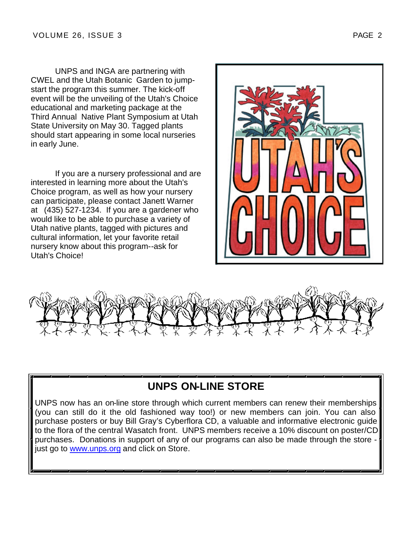UNPS and INGA are partnering with CWEL and the Utah Botanic Garden to jumpstart the program this summer. The kick-off event will be the unveiling of the Utah's Choice educational and marketing package at the Third Annual Native Plant Symposium at Utah State University on May 30. Tagged plants should start appearing in some local nurseries in early June.

If you are a nursery professional and are interested in learning more about the Utah's Choice program, as well as how your nursery can participate, please contact Janett Warner at (435) 527-1234. If you are a gardener who would like to be able to purchase a variety of Utah native plants, tagged with pictures and cultural information, let your favorite retail nursery know about this program--ask for Utah's Choice!





## **UNPS ON-LINE STORE**

UNPS now has an on-line store through which current members can renew their memberships (you can still do it the old fashioned way too!) or new members can join. You can also purchase posters or buy Bill Gray's Cyberflora CD, a valuable and informative electronic guide to the flora of the central Wasatch front. UNPS members receive a 10% discount on poster/CD purchases. Donations in support of any of our programs can also be made through the store just go to www.unps.org and click on Store.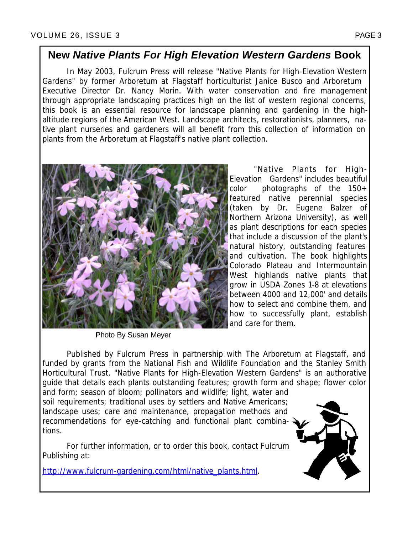## **New** *Native Plants For High Elevation Western Gardens* **Book**

In May 2003, Fulcrum Press will release "Native Plants for High-Elevation Western Gardens" by former Arboretum at Flagstaff horticulturist Janice Busco and Arboretum Executive Director Dr. Nancy Morin. With water conservation and fire management through appropriate landscaping practices high on the list of western regional concerns, this book is an essential resource for landscape planning and gardening in the highaltitude regions of the American West. Landscape architects, restorationists, planners, native plant nurseries and gardeners will all benefit from this collection of information on plants from the Arboretum at Flagstaff's native plant collection.



Photo By Susan Meyer

"Native Plants for High-Elevation Gardens" includes beautiful color photographs of the 150+ featured native perennial species (taken by Dr. Eugene Balzer of Northern Arizona University), as well as plant descriptions for each species that include a discussion of the plant's natural history, outstanding features and cultivation. The book highlights Colorado Plateau and Intermountain West highlands native plants that grow in USDA Zones 1-8 at elevations between 4000 and 12,000' and details how to select and combine them, and how to successfully plant, establish and care for them.

Published by Fulcrum Press in partnership with The Arboretum at Flagstaff, and funded by grants from the National Fish and Wildlife Foundation and the Stanley Smith Horticultural Trust, "Native Plants for High-Elevation Western Gardens" is an authorative guide that details each plants outstanding features; growth form and shape; flower color

and form; season of bloom; pollinators and wildlife; light, water and soil requirements; traditional uses by settlers and Native Americans; landscape uses; care and maintenance, propagation methods and recommendations for eye-catching and functional plant combinations.

For further information, or to order this book, contact Fulcrum Publishing at:

http://www.fulcrum-gardening.com/html/native\_plants.html.

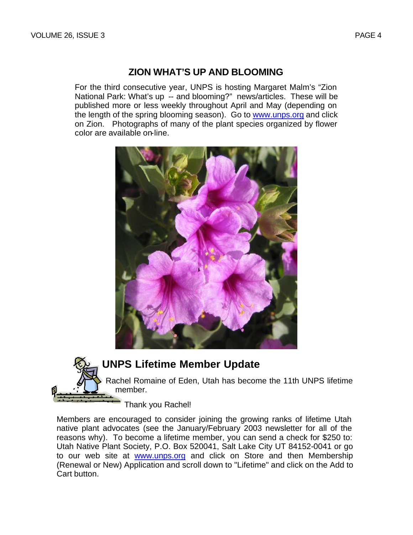### **ZION WHAT'S UP AND BLOOMING**

For the third consecutive year, UNPS is hosting Margaret Malm's "Zion National Park: What's up -- and blooming?" news/articles. These will be published more or less weekly throughout April and May (depending on the length of the spring blooming season). Go to www.unps.org and click on Zion. Photographs of many of the plant species organized by flower color are available on-line.





Members are encouraged to consider joining the growing ranks of lifetime Utah native plant advocates (see the January/February 2003 newsletter for all of the reasons why). To become a lifetime member, you can send a check for \$250 to: Utah Native Plant Society, P.O. Box 520041, Salt Lake City UT 84152-0041 or go to our web site at www.unps.org and click on Store and then Membership (Renewal or New) Application and scroll down to "Lifetime" and click on the Add to Cart button.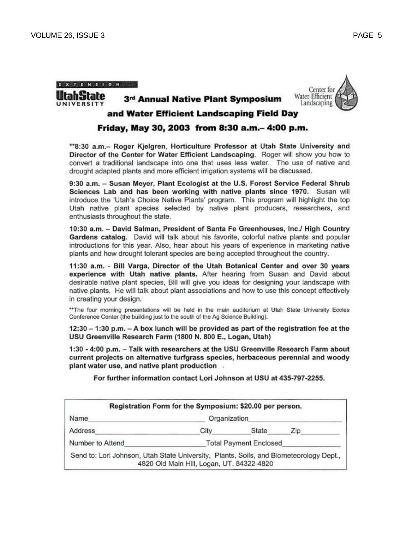X T E N S I O N







### and Water Efficient Landscaping Field Day

### Friday, May 30, 2003 from 8:30 a.m. - 4:00 p.m.

\*\*8:30 a.m.- Roger Kjelgren, Horticulture Professor at Utah State University and Director of the Center for Water Efficient Landscaping. Roger will show you how to convert a traditional landscape into one that uses less water. The use of native and drought adapted plants and more efficient irrigation systems will be discussed.

9:30 a.m. - Susan Mever, Plant Ecologist at the U.S. Forest Service Federal Shrub Sciences Lab and has been working with native plants since 1970. Susan will introduce the 'Utah's Choice Native Plants' program. This program will highlight the top Utah native plant species selected by native plant producers, researchers, and enthusiasts throughout the state.

10:30 a.m. - David Salman, President of Santa Fe Greenhouses, Inc./ High Country Gardens catalog. David will talk about his favorite, colorful native plants and popular introductions for this year. Also, hear about his years of experience in marketing native plants and how drought tolerant species are being accepted throughout the country.

11:30 a.m. - Bill Varga, Director of the Utah Botanical Center and over 30 years experience with Utah native plants. After hearing from Susan and David about desirable native plant species, Bill will give you ideas for designing your landscape with native plants. He will talk about plant associations and how to use this concept effectively in creating your design.

\*\* The four morning presentations will be held in the main auditorium at Utah State University Eccles Conference Center (the building just to the south of the Ag Science Building).

12:30 - 1:30 p.m. - A box lunch will be provided as part of the registration fee at the USU Greenville Research Farm (1800 N. 800 E., Logan, Utah)

1:30 - 4:00 p.m. - Talk with researchers at the USU Greenville Research Farm about current projects on alternative turfgrass species, herbaceous perennial and woody plant water use, and native plant production.

For further information contact Lori Johnson at USU at 435-797-2255.

|                                                                                        | Registration Form for the Symposium: \$20.00 per person. |       |     |
|----------------------------------------------------------------------------------------|----------------------------------------------------------|-------|-----|
| Name                                                                                   | Organization                                             |       |     |
| Address                                                                                | City                                                     | State | Zip |
| Number to Attend                                                                       | <b>Total Payment Enclosed</b>                            |       |     |
| Send to: Lori Johnson, Utah State University, Plants, Soils, and Biometeorology Dept., | 4820 Old Main Hill, Logan, UT. 84322-4820                |       |     |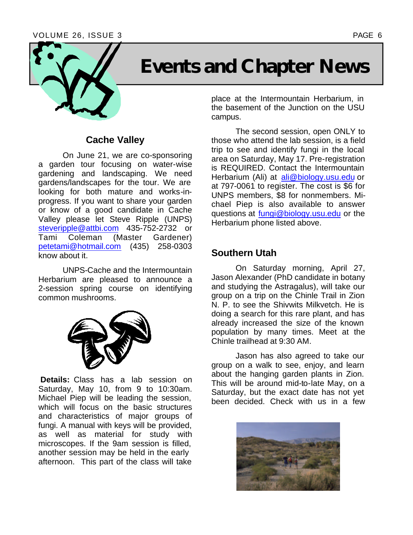

# **Events and Chapter News**

### **Cache Valley**

On June 21, we are co-sponsoring a garden tour focusing on water-wise gardening and landscaping. We need gardens/landscapes for the tour. We are looking for both mature and works-inprogress. If you want to share your garden or know of a good candidate in Cache Valley please let Steve Ripple (UNPS) steveripple@attbi.com 435-752-2732 or<br>Tami Coleman (Master Gardener) (Master Gardener) petetami@hotmail.com (435) 258-0303 know about it.

UNPS-Cache and the Intermountain Herbarium are pleased to announce a 2-session spring course on identifying common mushrooms.



**Details:** Class has a lab session on Saturday, May 10, from 9 to 10:30am. Michael Piep will be leading the session, which will focus on the basic structures and characteristics of major groups of fungi. A manual with keys will be provided, as well as material for study with microscopes. If the 9am session is filled, another session may be held in the early afternoon. This part of the class will take

place at the Intermountain Herbarium, in the basement of the Junction on the USU campus.

The second session, open ONLY to those who attend the lab session, is a field trip to see and identify fungi in the local area on Saturday, May 17. Pre-registration is REQUIRED. Contact the Intermountain Herbarium (Ali) at ali@biology.usu.edu or at 797-0061 to register. The cost is \$6 for UNPS members, \$8 for nonmembers. Michael Piep is also available to answer questions at fungi@biology.usu.edu or the Herbarium phone listed above.

### **Southern Utah**

On Saturday morning, April 27, Jason Alexander (PhD candidate in botany and studying the Astragalus), will take our group on a trip on the Chinle Trail in Zion N. P. to see the Shivwits Milkvetch. He is doing a search for this rare plant, and has already increased the size of the known population by many times. Meet at the Chinle trailhead at 9:30 AM.

Jason has also agreed to take our group on a walk to see, enjoy, and learn about the hanging garden plants in Zion. This will be around mid-to-late May, on a Saturday, but the exact date has not yet been decided. Check with us in a few

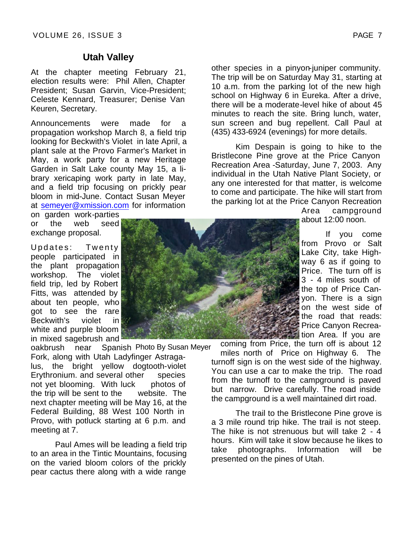### **Utah Valley**

At the chapter meeting February 21, election results were: Phil Allen, Chapter President; Susan Garvin, Vice-President; Celeste Kennard, Treasurer; Denise Van Keuren, Secretary.

Announcements were made for a propagation workshop March 8, a field trip looking for Beckwith's Violet in late April, a plant sale at the Provo Farmer's Market in May, a work party for a new Heritage Garden in Salt Lake county May 15, a library xericaping work party in late May, and a field trip focusing on prickly pear bloom in mid-June. Contact Susan Meyer at semeyer@xmission.com for information

on garden work-parties or the web seed exchange proposal.

Updates: Twenty people participated in the plant propagation workshop. The violet field trip, led by Robert Fitts, was attended by about ten people, who got to see the rare Beckwith's violet in white and purple bloom in mixed sagebrush and

oakbrush near Fork, along with Utah Ladyfinger Astragalus, the bright yellow dogtooth-violet Erythronium. and several other species not yet blooming. With luck photos of the trip will be sent to the website. The next chapter meeting will be May 16, at the Federal Building, 88 West 100 North in Provo, with potluck starting at 6 p.m. and meeting at 7. Spanish Photo By Susan Meyer

Paul Ames will be leading a field trip to an area in the Tintic Mountains, focusing on the varied bloom colors of the prickly pear cactus there along with a wide range



other species in a pinyon-juniper community. The trip will be on Saturday May 31, starting at 10 a.m. from the parking lot of the new high school on Highway 6 in Eureka. After a drive, there will be a moderate-level hike of about 45 minutes to reach the site. Bring lunch, water, sun screen and bug repellent. Call Paul at (435) 433-6924 (evenings) for more details.

Kim Despain is going to hike to the Bristlecone Pine grove at the Price Canyon Recreation Area -Saturday, June 7, 2003. Any individual in the Utah Native Plant Society, or any one interested for that matter, is welcome to come and participate. The hike will start from the parking lot at the Price Canyon Recreation

> Area campground about 12:00 noon.

If you come from Provo or Salt Lake City, take Highway 6 as if going to Price. The turn off is 3 - 4 miles south of the top of Price Canyon. There is a sign on the west side of the road that reads: Price Canyon Recreation Area. If you are

coming from Price, the turn off is about 12 miles north of Price on Highway 6. The turnoff sign is on the west side of the highway. You can use a car to make the trip. The road from the turnoff to the campground is paved but narrow. Drive carefully. The road inside the campground is a well maintained dirt road.

The trail to the Bristlecone Pine grove is a 3 mile round trip hike. The trail is not steep. The hike is not strenuous but will take 2 - 4 hours. Kim will take it slow because he likes to take photographs. Information will be presented on the pines of Utah.